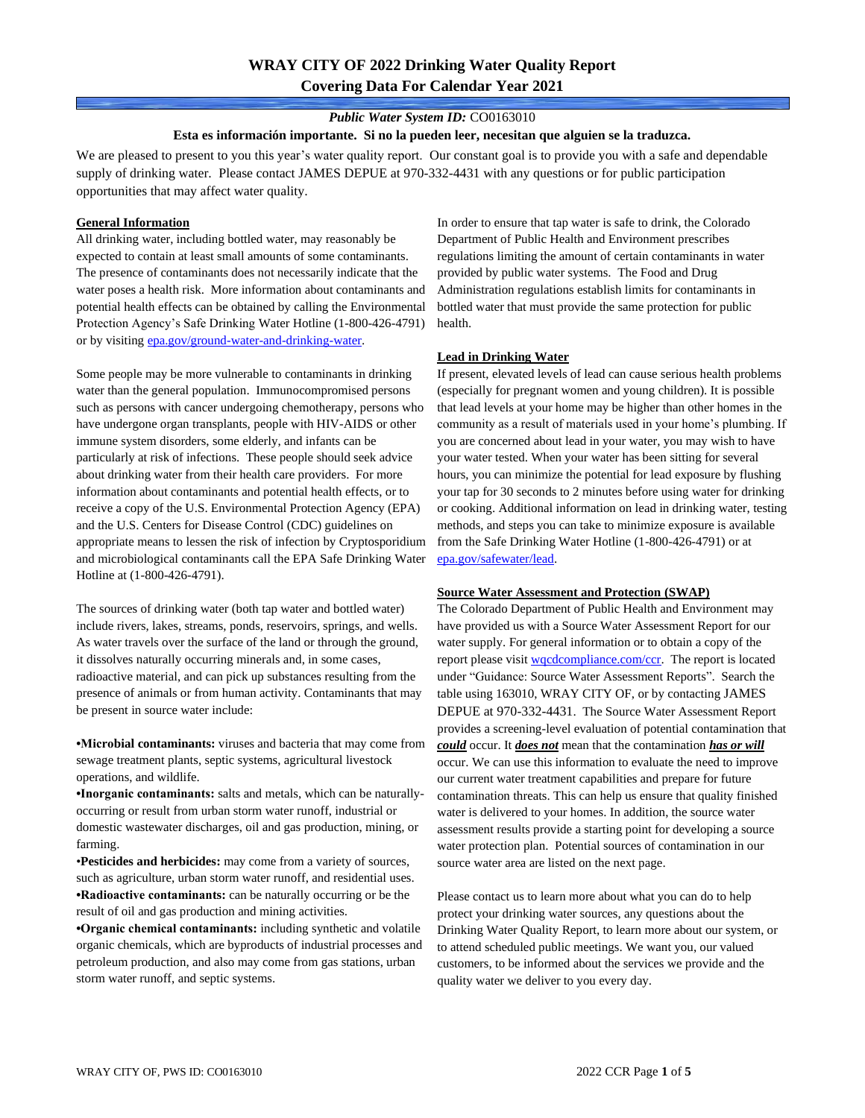# **WRAY CITY OF 2022 Drinking Water Quality Report Covering Data For Calendar Year 2021**

### *Public Water System ID:* CO0163010

#### **Esta es información importante. Si no la pueden leer, necesitan que alguien se la traduzca.**

We are pleased to present to you this year's water quality report. Our constant goal is to provide you with a safe and dependable supply of drinking water. Please contact JAMES DEPUE at 970-332-4431 with any questions or for public participation opportunities that may affect water quality.

### **General Information**

All drinking water, including bottled water, may reasonably be expected to contain at least small amounts of some contaminants. The presence of contaminants does not necessarily indicate that the water poses a health risk. More information about contaminants and potential health effects can be obtained by calling the Environmental Protection Agency's Safe Drinking Water Hotline (1-800-426-4791) or by visiting [epa.gov/ground-water-and-drinking-water.](https://www.epa.gov/ground-water-and-drinking-water)

Some people may be more vulnerable to contaminants in drinking water than the general population. Immunocompromised persons such as persons with cancer undergoing chemotherapy, persons who have undergone organ transplants, people with HIV-AIDS or other immune system disorders, some elderly, and infants can be particularly at risk of infections. These people should seek advice about drinking water from their health care providers. For more information about contaminants and potential health effects, or to receive a copy of the U.S. Environmental Protection Agency (EPA) and the U.S. Centers for Disease Control (CDC) guidelines on appropriate means to lessen the risk of infection by Cryptosporidium and microbiological contaminants call the EPA Safe Drinking Water Hotline at (1-800-426-4791).

The sources of drinking water (both tap water and bottled water) include rivers, lakes, streams, ponds, reservoirs, springs, and wells. As water travels over the surface of the land or through the ground, it dissolves naturally occurring minerals and, in some cases, radioactive material, and can pick up substances resulting from the presence of animals or from human activity. Contaminants that may be present in source water include:

**•Microbial contaminants:** viruses and bacteria that may come from sewage treatment plants, septic systems, agricultural livestock operations, and wildlife.

**•Inorganic contaminants:** salts and metals, which can be naturallyoccurring or result from urban storm water runoff, industrial or domestic wastewater discharges, oil and gas production, mining, or farming.

•**Pesticides and herbicides:** may come from a variety of sources, such as agriculture, urban storm water runoff, and residential uses. **•Radioactive contaminants:** can be naturally occurring or be the result of oil and gas production and mining activities.

**•Organic chemical contaminants:** including synthetic and volatile organic chemicals, which are byproducts of industrial processes and petroleum production, and also may come from gas stations, urban storm water runoff, and septic systems.

In order to ensure that tap water is safe to drink, the Colorado Department of Public Health and Environment prescribes regulations limiting the amount of certain contaminants in water provided by public water systems. The Food and Drug Administration regulations establish limits for contaminants in bottled water that must provide the same protection for public health.

### **Lead in Drinking Water**

If present, elevated levels of lead can cause serious health problems (especially for pregnant women and young children). It is possible that lead levels at your home may be higher than other homes in the community as a result of materials used in your home's plumbing. If you are concerned about lead in your water, you may wish to have your water tested. When your water has been sitting for several hours, you can minimize the potential for lead exposure by flushing your tap for 30 seconds to 2 minutes before using water for drinking or cooking. Additional information on lead in drinking water, testing methods, and steps you can take to minimize exposure is available from the Safe Drinking Water Hotline (1-800-426-4791) or at [epa.gov/safewater/lead.](http://www.epa.gov/safewater/lead) 

#### **Source Water Assessment and Protection (SWAP)**

The Colorado Department of Public Health and Environment may have provided us with a Source Water Assessment Report for our water supply. For general information or to obtain a copy of the report please visit [wqcdcompliance.com/ccr.](https://wqcdcompliance.com/ccr) The report is located under "Guidance: Source Water Assessment Reports". Search the table using 163010, WRAY CITY OF, or by contacting JAMES DEPUE at 970-332-4431. The Source Water Assessment Report provides a screening-level evaluation of potential contamination that *could* occur. It *does not* mean that the contamination *has or will* occur. We can use this information to evaluate the need to improve our current water treatment capabilities and prepare for future contamination threats. This can help us ensure that quality finished water is delivered to your homes. In addition, the source water assessment results provide a starting point for developing a source water protection plan. Potential sources of contamination in our source water area are listed on the next page.

Please contact us to learn more about what you can do to help protect your drinking water sources, any questions about the Drinking Water Quality Report, to learn more about our system, or to attend scheduled public meetings. We want you, our valued customers, to be informed about the services we provide and the quality water we deliver to you every day.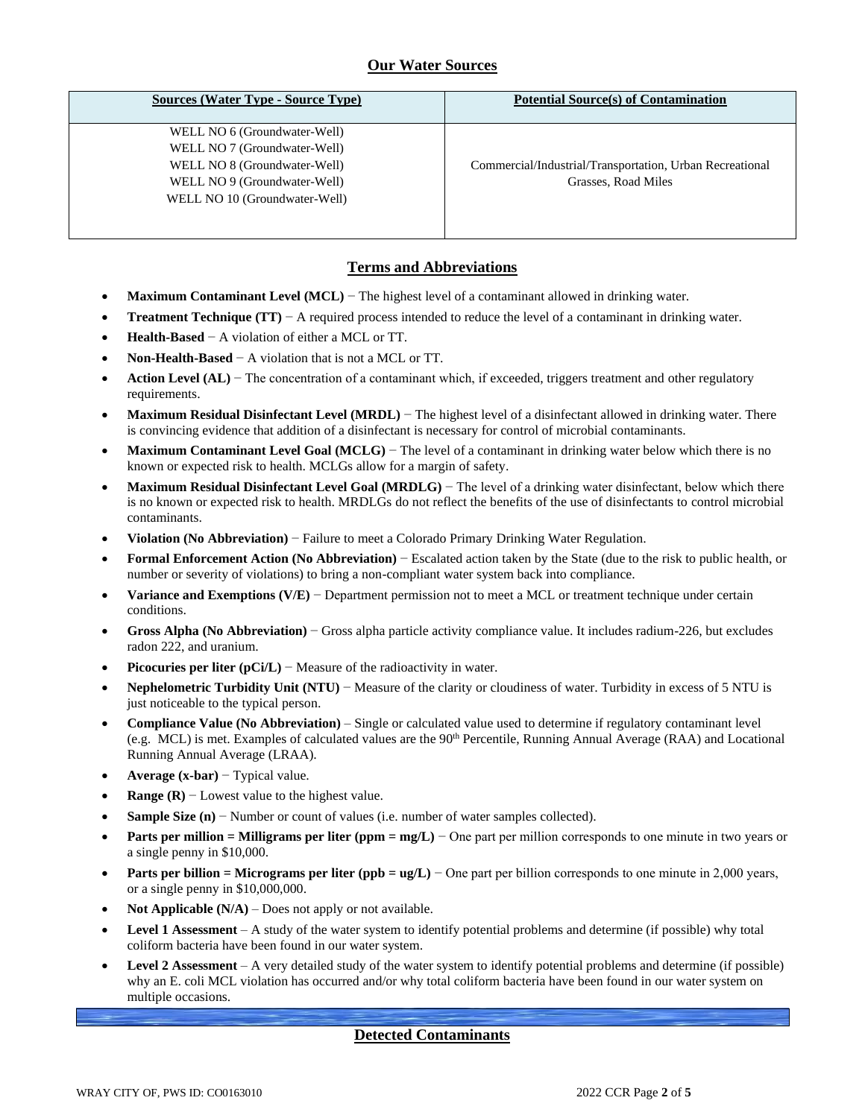# **Our Water Sources**

| <b>Sources (Water Type - Source Type)</b> | <b>Potential Source(s) of Contamination</b>              |
|-------------------------------------------|----------------------------------------------------------|
| WELL NO 6 (Groundwater-Well)              |                                                          |
| WELL NO 7 (Groundwater-Well)              |                                                          |
| WELL NO 8 (Groundwater-Well)              | Commercial/Industrial/Transportation, Urban Recreational |
| WELL NO 9 (Groundwater-Well)              | Grasses, Road Miles                                      |
| WELL NO 10 (Groundwater-Well)             |                                                          |
|                                           |                                                          |
|                                           |                                                          |

## **Terms and Abbreviations**

- **Maximum Contaminant Level (MCL)** − The highest level of a contaminant allowed in drinking water.
- **Treatment Technique (TT)** − A required process intended to reduce the level of a contaminant in drinking water.
- **Health-Based** − A violation of either a MCL or TT.
- **Non-Health-Based** − A violation that is not a MCL or TT.
- **Action Level (AL)** − The concentration of a contaminant which, if exceeded, triggers treatment and other regulatory requirements.
- **Maximum Residual Disinfectant Level (MRDL)** − The highest level of a disinfectant allowed in drinking water. There is convincing evidence that addition of a disinfectant is necessary for control of microbial contaminants.
- **Maximum Contaminant Level Goal (MCLG)** − The level of a contaminant in drinking water below which there is no known or expected risk to health. MCLGs allow for a margin of safety.
- **Maximum Residual Disinfectant Level Goal (MRDLG)** − The level of a drinking water disinfectant, below which there is no known or expected risk to health. MRDLGs do not reflect the benefits of the use of disinfectants to control microbial contaminants.
- **Violation (No Abbreviation)** − Failure to meet a Colorado Primary Drinking Water Regulation.
- **Formal Enforcement Action (No Abbreviation)** − Escalated action taken by the State (due to the risk to public health, or number or severity of violations) to bring a non-compliant water system back into compliance.
- **Variance and Exemptions (V/E)** − Department permission not to meet a MCL or treatment technique under certain conditions.
- **Gross Alpha (No Abbreviation)** − Gross alpha particle activity compliance value. It includes radium-226, but excludes radon 222, and uranium.
- **Picocuries per liter (pCi/L)** Measure of the radioactivity in water.
- **Nephelometric Turbidity Unit (NTU)** − Measure of the clarity or cloudiness of water. Turbidity in excess of 5 NTU is just noticeable to the typical person.
- **Compliance Value (No Abbreviation)** Single or calculated value used to determine if regulatory contaminant level (e.g. MCL) is met. Examples of calculated values are the  $90<sup>th</sup>$  Percentile, Running Annual Average (RAA) and Locational Running Annual Average (LRAA).
- **Average (x-bar)** − Typical value.
- **Range (R)**  $-$  Lowest value to the highest value.
- **Sample Size (n)** − Number or count of values (i.e. number of water samples collected).
- **Parts per million = Milligrams per liter (ppm = mg/L)** − One part per million corresponds to one minute in two years or a single penny in \$10,000.
- **Parts per billion = Micrograms per liter (ppb = ug/L)** − One part per billion corresponds to one minute in 2,000 years, or a single penny in \$10,000,000.
- **Not Applicable**  $(N/A)$  Does not apply or not available.
- **Level 1 Assessment** A study of the water system to identify potential problems and determine (if possible) why total coliform bacteria have been found in our water system.
- **Level 2 Assessment** A very detailed study of the water system to identify potential problems and determine (if possible) why an E. coli MCL violation has occurred and/or why total coliform bacteria have been found in our water system on multiple occasions.

## **Detected Contaminants**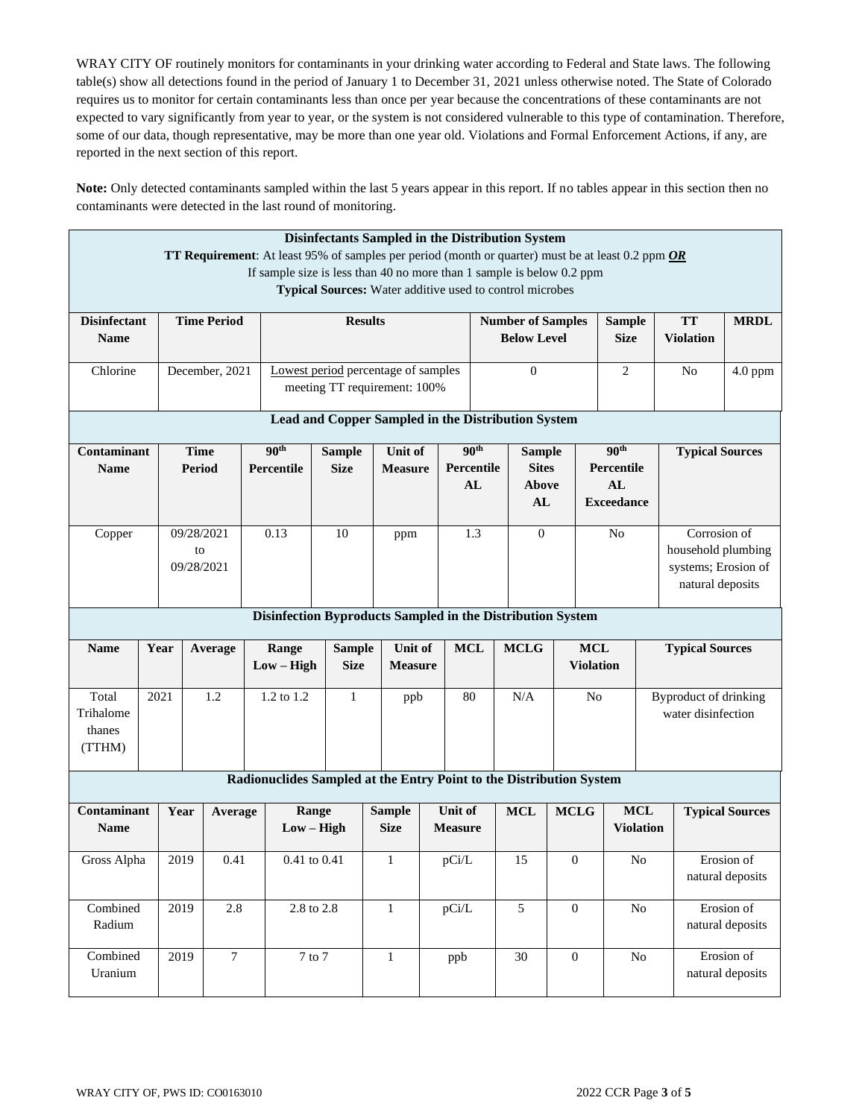WRAY CITY OF routinely monitors for contaminants in your drinking water according to Federal and State laws. The following table(s) show all detections found in the period of January 1 to December 31, 2021 unless otherwise noted. The State of Colorado requires us to monitor for certain contaminants less than once per year because the concentrations of these contaminants are not expected to vary significantly from year to year, or the system is not considered vulnerable to this type of contamination. Therefore, some of our data, though representative, may be more than one year old. Violations and Formal Enforcement Actions, if any, are reported in the next section of this report.

**Note:** Only detected contaminants sampled within the last 5 years appear in this report. If no tables appear in this section then no contaminants were detected in the last round of monitoring.

|                     |                                                                                                |                 |                                                       |                    |                                                                                                                                                                                          | Disinfectants Sampled in the Distribution System         |  |                                     |                |                            |                 |                  |                   |                    |                              |                                |
|---------------------|------------------------------------------------------------------------------------------------|-----------------|-------------------------------------------------------|--------------------|------------------------------------------------------------------------------------------------------------------------------------------------------------------------------------------|----------------------------------------------------------|--|-------------------------------------|----------------|----------------------------|-----------------|------------------|-------------------|--------------------|------------------------------|--------------------------------|
|                     |                                                                                                |                 |                                                       |                    | <b>TT Requirement:</b> At least 95% of samples per period (month or quarter) must be at least 0.2 ppm <i>OR</i><br>If sample size is less than 40 no more than 1 sample is below 0.2 ppm |                                                          |  |                                     |                |                            |                 |                  |                   |                    |                              |                                |
|                     |                                                                                                |                 |                                                       |                    |                                                                                                                                                                                          | Typical Sources: Water additive used to control microbes |  |                                     |                |                            |                 |                  |                   |                    |                              |                                |
|                     |                                                                                                |                 |                                                       |                    |                                                                                                                                                                                          |                                                          |  |                                     |                |                            |                 |                  |                   |                    |                              |                                |
| <b>Disinfectant</b> | <b>TT</b><br><b>Time Period</b><br><b>Results</b><br><b>Number of Samples</b><br><b>Sample</b> |                 |                                                       |                    |                                                                                                                                                                                          |                                                          |  |                                     |                |                            |                 |                  |                   |                    | <b>MRDL</b>                  |                                |
| <b>Name</b>         |                                                                                                |                 | <b>Below Level</b><br><b>Size</b><br><b>Violation</b> |                    |                                                                                                                                                                                          |                                                          |  |                                     |                |                            |                 |                  |                   |                    |                              |                                |
|                     |                                                                                                |                 |                                                       |                    |                                                                                                                                                                                          |                                                          |  |                                     |                |                            |                 |                  |                   |                    |                              |                                |
| Chlorine            |                                                                                                |                 | December, 2021                                        |                    |                                                                                                                                                                                          |                                                          |  | Lowest period percentage of samples |                |                            | $\Omega$        |                  | $\overline{2}$    |                    | N <sub>o</sub>               | 4.0 ppm                        |
|                     |                                                                                                |                 |                                                       |                    |                                                                                                                                                                                          | meeting TT requirement: 100%                             |  |                                     |                |                            |                 |                  |                   |                    |                              |                                |
|                     |                                                                                                |                 |                                                       |                    |                                                                                                                                                                                          |                                                          |  |                                     |                |                            |                 |                  |                   |                    |                              |                                |
|                     | Lead and Copper Sampled in the Distribution System                                             |                 |                                                       |                    |                                                                                                                                                                                          |                                                          |  |                                     |                |                            |                 |                  |                   |                    |                              |                                |
| Contaminant         |                                                                                                | <b>Time</b>     |                                                       |                    | 90 <sup>th</sup>                                                                                                                                                                         | <b>Sample</b>                                            |  | Unit of                             |                | 90 <sup>th</sup>           | <b>Sample</b>   |                  | 90 <sup>th</sup>  |                    | <b>Typical Sources</b>       |                                |
| <b>Name</b>         |                                                                                                |                 | Period                                                |                    | Percentile                                                                                                                                                                               | <b>Size</b>                                              |  | <b>Measure</b>                      |                | <b>Sites</b><br>Percentile |                 |                  | Percentile        |                    |                              |                                |
|                     |                                                                                                |                 |                                                       |                    |                                                                                                                                                                                          |                                                          |  |                                     |                | AL                         | Above           |                  | AL                |                    |                              |                                |
|                     |                                                                                                |                 |                                                       |                    |                                                                                                                                                                                          |                                                          |  |                                     |                |                            | AL              |                  | <b>Exceedance</b> |                    |                              |                                |
|                     |                                                                                                |                 |                                                       |                    |                                                                                                                                                                                          |                                                          |  |                                     |                |                            | $\overline{0}$  |                  |                   |                    |                              |                                |
| Copper              |                                                                                                | 09/28/2021      |                                                       |                    | 0.13                                                                                                                                                                                     | 10                                                       |  | ppm                                 |                | 1.3                        |                 |                  |                   | Corrosion of<br>No |                              |                                |
|                     | to                                                                                             |                 |                                                       |                    |                                                                                                                                                                                          |                                                          |  |                                     |                |                            |                 |                  |                   | household plumbing |                              |                                |
|                     | 09/28/2021                                                                                     |                 |                                                       |                    |                                                                                                                                                                                          |                                                          |  |                                     |                |                            |                 |                  |                   |                    | systems; Erosion of          |                                |
|                     |                                                                                                |                 |                                                       |                    |                                                                                                                                                                                          |                                                          |  |                                     |                |                            |                 |                  |                   | natural deposits   |                              |                                |
|                     |                                                                                                |                 |                                                       |                    | Disinfection Byproducts Sampled in the Distribution System                                                                                                                               |                                                          |  |                                     |                |                            |                 |                  |                   |                    |                              |                                |
| <b>Name</b>         | Year                                                                                           |                 | Average                                               |                    | Range                                                                                                                                                                                    | <b>Sample</b>                                            |  | Unit of                             | <b>MCL</b>     |                            | <b>MCLG</b>     | <b>MCL</b>       |                   |                    | <b>Typical Sources</b>       |                                |
|                     |                                                                                                |                 |                                                       |                    | $Low - High$                                                                                                                                                                             | <b>Size</b>                                              |  | <b>Measure</b>                      |                |                            |                 |                  | <b>Violation</b>  |                    |                              |                                |
|                     |                                                                                                |                 |                                                       |                    |                                                                                                                                                                                          |                                                          |  |                                     |                |                            |                 |                  |                   |                    |                              |                                |
| Total               | 2021                                                                                           |                 | 1.2                                                   |                    | 1.2 to 1.2                                                                                                                                                                               | $\mathbf{1}$                                             |  | ppb                                 | 80             |                            | N/A             | N <sub>o</sub>   |                   |                    | <b>Byproduct of drinking</b> |                                |
| Trihalome           |                                                                                                |                 |                                                       |                    |                                                                                                                                                                                          |                                                          |  |                                     |                |                            |                 |                  |                   |                    | water disinfection           |                                |
| thanes              |                                                                                                |                 |                                                       |                    |                                                                                                                                                                                          |                                                          |  |                                     |                |                            |                 |                  |                   |                    |                              |                                |
| (TTHM)              |                                                                                                |                 |                                                       |                    |                                                                                                                                                                                          |                                                          |  |                                     |                |                            |                 |                  |                   |                    |                              |                                |
|                     |                                                                                                |                 |                                                       |                    | Radionuclides Sampled at the Entry Point to the Distribution System                                                                                                                      |                                                          |  |                                     |                |                            |                 |                  |                   |                    |                              |                                |
|                     |                                                                                                |                 |                                                       |                    |                                                                                                                                                                                          |                                                          |  |                                     |                |                            |                 |                  |                   |                    |                              |                                |
| <b>Contaminant</b>  |                                                                                                | Year<br>Average |                                                       |                    | Range                                                                                                                                                                                    |                                                          |  | <b>Sample</b>                       | <b>Unit of</b> |                            | <b>MCL</b>      | <b>MCLG</b>      | <b>MCL</b>        |                    |                              | <b>Typical Sources</b>         |
| <b>Name</b>         |                                                                                                |                 |                                                       |                    | $Low - High$                                                                                                                                                                             |                                                          |  | <b>Size</b>                         | <b>Measure</b> |                            |                 |                  |                   | <b>Violation</b>   |                              |                                |
|                     |                                                                                                |                 |                                                       |                    |                                                                                                                                                                                          |                                                          |  |                                     |                |                            | $\overline{15}$ |                  | $\overline{No}$   |                    |                              |                                |
| Gross Alpha         |                                                                                                | 2019<br>0.41    |                                                       | $0.41$ to $0.41\,$ |                                                                                                                                                                                          |                                                          |  | $\perp$                             | pCi/L          |                            |                 | $\theta$         |                   |                    |                              | Erosion of<br>natural deposits |
|                     |                                                                                                |                 |                                                       |                    |                                                                                                                                                                                          |                                                          |  |                                     |                |                            |                 |                  |                   |                    |                              |                                |
| Combined            |                                                                                                | 2019            | 2.8                                                   | 2.8 to 2.8         |                                                                                                                                                                                          |                                                          |  | $\mathbf{1}$                        | pCi/L          |                            | 5               | $\boldsymbol{0}$ |                   | $\rm No$           |                              | Erosion of                     |
| Radium              |                                                                                                |                 |                                                       |                    |                                                                                                                                                                                          |                                                          |  |                                     |                |                            |                 |                  |                   |                    |                              | natural deposits               |
|                     |                                                                                                |                 |                                                       |                    |                                                                                                                                                                                          |                                                          |  |                                     |                |                            |                 |                  |                   |                    |                              |                                |
|                     |                                                                                                |                 |                                                       |                    |                                                                                                                                                                                          |                                                          |  |                                     |                |                            |                 |                  |                   |                    |                              |                                |
| Combined<br>Uranium |                                                                                                | 2019            | $\tau$                                                |                    | $7$ to $7\,$                                                                                                                                                                             |                                                          |  | $\mathbf{1}$                        | ppb            |                            | 30              | $\boldsymbol{0}$ | $\rm No$          |                    |                              | Erosion of<br>natural deposits |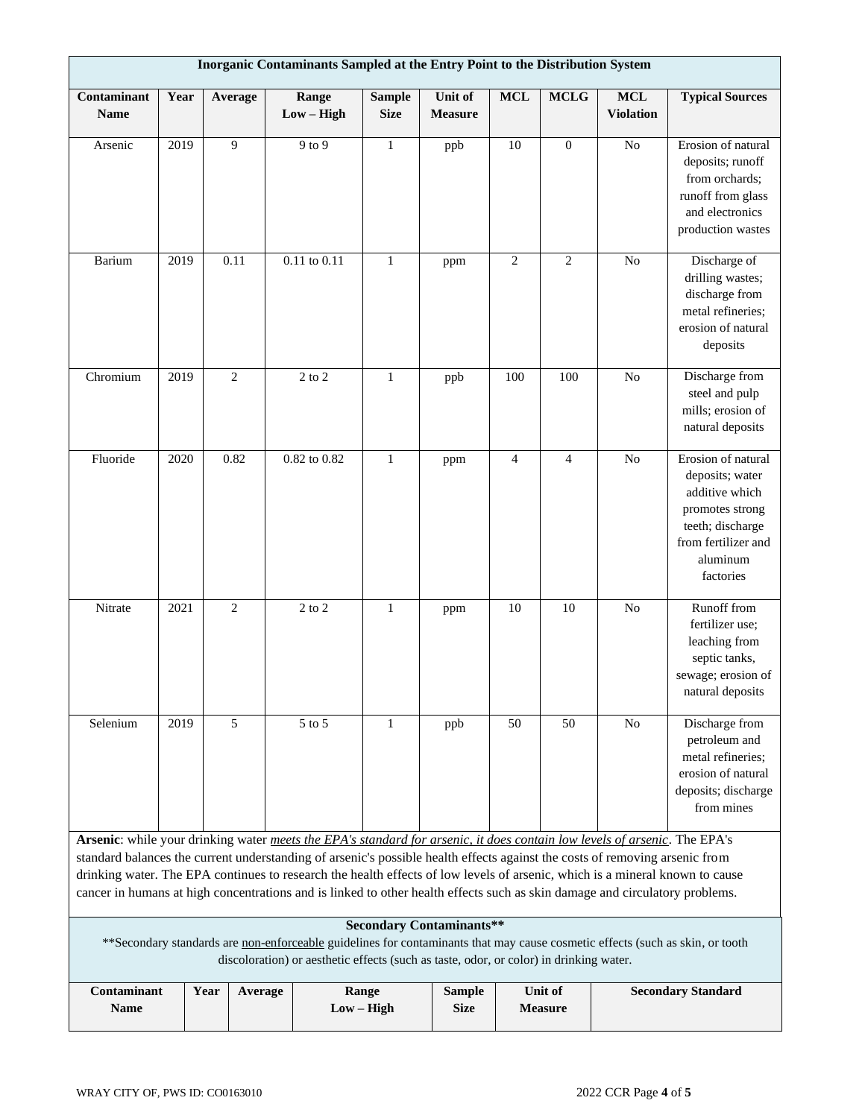| Inorganic Contaminants Sampled at the Entry Point to the Distribution System                                                                                                                                                                                                                                                                                                                                                                                                                                            |                                                                                                                                                   |  |                |                       |                              |                                  |                |                |                               |                                                                                                                                                |  |  |
|-------------------------------------------------------------------------------------------------------------------------------------------------------------------------------------------------------------------------------------------------------------------------------------------------------------------------------------------------------------------------------------------------------------------------------------------------------------------------------------------------------------------------|---------------------------------------------------------------------------------------------------------------------------------------------------|--|----------------|-----------------------|------------------------------|----------------------------------|----------------|----------------|-------------------------------|------------------------------------------------------------------------------------------------------------------------------------------------|--|--|
| Contaminant<br><b>Name</b>                                                                                                                                                                                                                                                                                                                                                                                                                                                                                              | Year                                                                                                                                              |  | Average        | Range<br>$Low - High$ | <b>Sample</b><br><b>Size</b> | <b>Unit of</b><br><b>Measure</b> | <b>MCL</b>     | <b>MCLG</b>    | $\bf MCL$<br><b>Violation</b> | <b>Typical Sources</b>                                                                                                                         |  |  |
| Arsenic                                                                                                                                                                                                                                                                                                                                                                                                                                                                                                                 | 2019                                                                                                                                              |  | 9              | 9 to 9                | $\mathbf{1}$                 | ppb                              | 10             | $\mathbf{0}$   | N <sub>o</sub>                | Erosion of natural<br>deposits; runoff<br>from orchards;<br>runoff from glass<br>and electronics<br>production wastes                          |  |  |
| Barium                                                                                                                                                                                                                                                                                                                                                                                                                                                                                                                  | 2019                                                                                                                                              |  | 0.11           | $0.11$ to $0.11$      | $\mathbf{1}$                 | ppm                              | $\overline{c}$ | $\overline{2}$ | N <sub>o</sub>                | Discharge of<br>drilling wastes;<br>discharge from<br>metal refineries;<br>erosion of natural<br>deposits                                      |  |  |
| Chromium                                                                                                                                                                                                                                                                                                                                                                                                                                                                                                                | 2019                                                                                                                                              |  | $\mathfrak{2}$ | $2$ to $2$            | $\mathbf{1}$                 | ppb                              | 100            | 100            | No                            | Discharge from<br>steel and pulp<br>mills; erosion of<br>natural deposits                                                                      |  |  |
| Fluoride                                                                                                                                                                                                                                                                                                                                                                                                                                                                                                                | 2020                                                                                                                                              |  | 0.82           | $0.82$ to $0.82$      | $\mathbf{1}$                 | ppm                              | $\overline{4}$ | $\overline{4}$ | N <sub>o</sub>                | Erosion of natural<br>deposits; water<br>additive which<br>promotes strong<br>teeth; discharge<br>from fertilizer and<br>aluminum<br>factories |  |  |
| Nitrate                                                                                                                                                                                                                                                                                                                                                                                                                                                                                                                 | 2021                                                                                                                                              |  | $\overline{2}$ | $2$ to $2$            | $\mathbf{1}$                 | ppm                              | 10             | 10             | $\rm No$                      | Runoff from<br>fertilizer use;<br>leaching from<br>septic tanks,<br>sewage; erosion of<br>natural deposits                                     |  |  |
| Selenium                                                                                                                                                                                                                                                                                                                                                                                                                                                                                                                | 2019                                                                                                                                              |  | 5              | 5 to 5                | 1                            | ppb                              | 50             | 50             | N <sub>0</sub>                | Discharge from<br>petroleum and<br>metal refineries;<br>erosion of natural<br>deposits; discharge<br>from mines                                |  |  |
| Arsenic: while your drinking water meets the EPA's standard for arsenic, it does contain low levels of arsenic. The EPA's<br>standard balances the current understanding of arsenic's possible health effects against the costs of removing arsenic from<br>drinking water. The EPA continues to research the health effects of low levels of arsenic, which is a mineral known to cause<br>cancer in humans at high concentrations and is linked to other health effects such as skin damage and circulatory problems. |                                                                                                                                                   |  |                |                       |                              |                                  |                |                |                               |                                                                                                                                                |  |  |
| <b>Secondary Contaminants**</b><br>** Secondary standards are non-enforceable guidelines for contaminants that may cause cosmetic effects (such as skin, or tooth<br>discoloration) or aesthetic effects (such as taste, odor, or color) in drinking water.                                                                                                                                                                                                                                                             |                                                                                                                                                   |  |                |                       |                              |                                  |                |                |                               |                                                                                                                                                |  |  |
| Name                                                                                                                                                                                                                                                                                                                                                                                                                                                                                                                    | Contaminant<br>Unit of<br>Range<br><b>Sample</b><br>Year<br><b>Secondary Standard</b><br>Average<br>$Low - High$<br><b>Size</b><br><b>Measure</b> |  |                |                       |                              |                                  |                |                |                               |                                                                                                                                                |  |  |